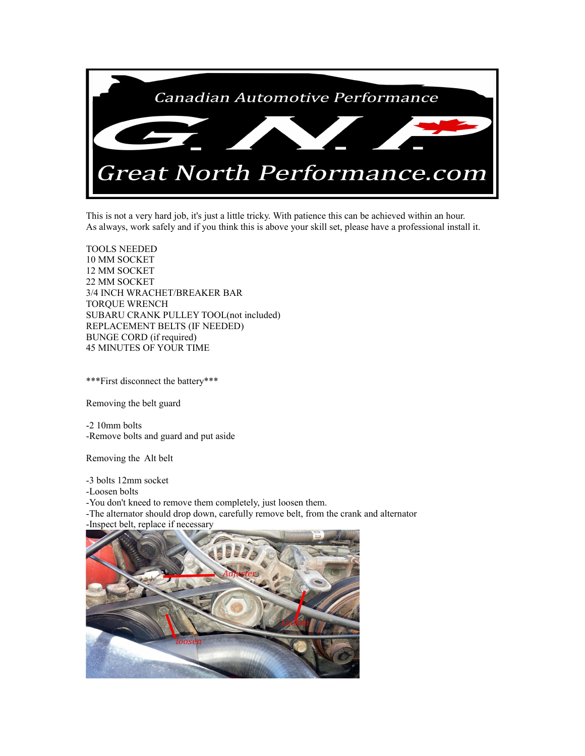

This is not a very hard job, it's just a little tricky. With patience this can be achieved within an hour. As always, work safely and if you think this is above your skill set, please have a professional install it.

TOOLS NEEDED 10 MM SOCKET 12 MM SOCKET 22 MM SOCKET 3/4 INCH WRACHET/BREAKER BAR TORQUE WRENCH SUBARU CRANK PULLEY TOOL(not included) REPLACEMENT BELTS (IF NEEDED) BUNGE CORD (if required) 45 MINUTES OF YOUR TIME

\*\*\*First disconnect the battery\*\*\*

Removing the belt guard

-2 10mm bolts -Remove bolts and guard and put aside

Removing the Alt belt

-3 bolts 12mm socket

-Loosen bolts

-You don't kneed to remove them completely, just loosen them.

-The alternator should drop down, carefully remove belt, from the crank and alternator -Inspect belt, replace if necessary

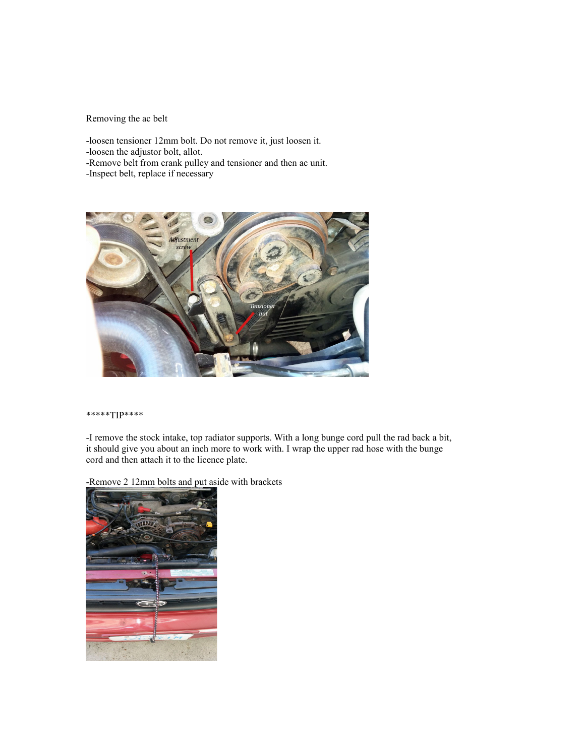Removing the ac belt

-loosen tensioner 12mm bolt. Do not remove it, just loosen it.

-loosen the adjustor bolt, allot.

-Remove belt from crank pulley and tensioner and then ac unit.

-Inspect belt, replace if necessary



#### \*\*\*\*\*TIP\*\*\*\*

-I remove the stock intake, top radiator supports. With a long bunge cord pull the rad back a bit, it should give you about an inch more to work with. I wrap the upper rad hose with the bunge cord and then attach it to the licence plate.

-Remove 2 12mm bolts and put aside with brackets

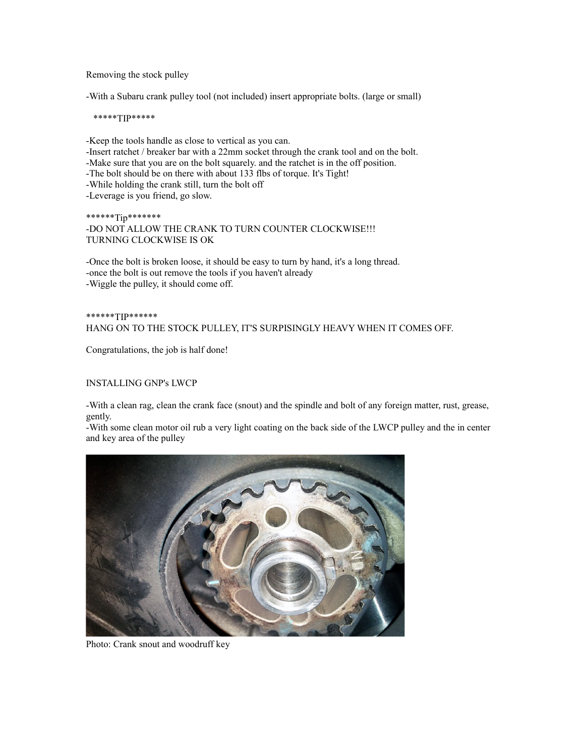Removing the stock pulley

-With a Subaru crank pulley tool (not included) insert appropriate bolts. (large or small)

\*\*\*\*\*TIP\*\*\*\*\*

-Keep the tools handle as close to vertical as you can. -Insert ratchet / breaker bar with a 22mm socket through the crank tool and on the bolt. -Make sure that you are on the bolt squarely. and the ratchet is in the off position. -The bolt should be on there with about 133 flbs of torque. It's Tight! -While holding the crank still, turn the bolt off -Leverage is you friend, go slow.

## \*\*\*\*\*\*Tip\*\*\*\*\*\*\* -DO NOT ALLOW THE CRANK TO TURN COUNTER CLOCKWISE!!! TURNING CLOCKWISE IS OK

-Once the bolt is broken loose, it should be easy to turn by hand, it's a long thread. -once the bolt is out remove the tools if you haven't already -Wiggle the pulley, it should come off.

# \*\*\*\*\*\*TIP\*\*\*\*\*\* HANG ON TO THE STOCK PULLEY, IT'S SURPISINGLY HEAVY WHEN IT COMES OFF.

Congratulations, the job is half done!

## INSTALLING GNP's LWCP

-With a clean rag, clean the crank face (snout) and the spindle and bolt of any foreign matter, rust, grease, gently.

-With some clean motor oil rub a very light coating on the back side of the LWCP pulley and the in center and key area of the pulley



Photo: Crank snout and woodruff key